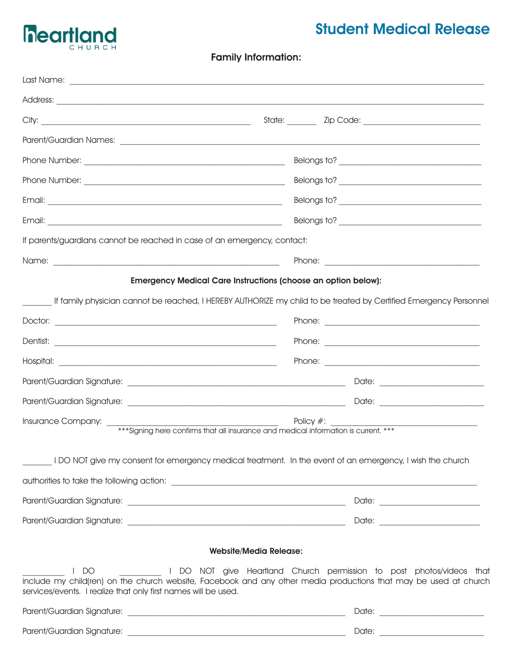

## Student Medical Release

|  | <b>Family Information:</b> |
|--|----------------------------|
|--|----------------------------|

| If parents/guardians cannot be reached in case of an emergency, contact:                                                                                                                                |                                                                      |
|---------------------------------------------------------------------------------------------------------------------------------------------------------------------------------------------------------|----------------------------------------------------------------------|
|                                                                                                                                                                                                         |                                                                      |
| Emergency Medical Care Instructions (choose an option below):                                                                                                                                           |                                                                      |
| If family physician cannot be reached, I HEREBY AUTHORIZE my child to be treated by Certified Emergency Personnel                                                                                       |                                                                      |
|                                                                                                                                                                                                         |                                                                      |
|                                                                                                                                                                                                         |                                                                      |
|                                                                                                                                                                                                         |                                                                      |
|                                                                                                                                                                                                         |                                                                      |
|                                                                                                                                                                                                         |                                                                      |
|                                                                                                                                                                                                         |                                                                      |
| I DO NOT give my consent for emergency medical treatment. In the event of an emergency, I wish the church                                                                                               |                                                                      |
|                                                                                                                                                                                                         |                                                                      |
|                                                                                                                                                                                                         |                                                                      |
| <b>Website/Media Release:</b>                                                                                                                                                                           |                                                                      |
| $\overline{1}$ DO<br>include my child(ren) on the church website, Facebook and any other media productions that may be used at church<br>services/events. I realize that only first names will be used. | I DO NOT give Heartland Church permission to post photos/videos that |
|                                                                                                                                                                                                         | Date: ____________________________                                   |
|                                                                                                                                                                                                         |                                                                      |